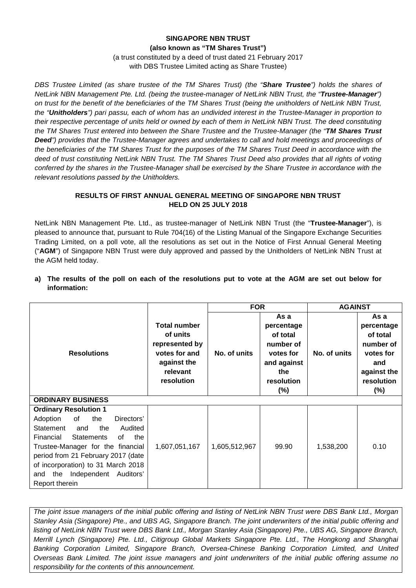### **SINGAPORE NBN TRUST (also known as "TM Shares Trust")**  (a trust constituted by a deed of trust dated 21 February 2017 with DBS Trustee Limited acting as Share Trustee)

*DBS Trustee Limited (as share trustee of the TM Shares Trust) (the "Share Trustee") holds the shares of NetLink NBN Management Pte. Ltd. (being the trustee-manager of NetLink NBN Trust, the "Trustee-Manager") on trust for the benefit of the beneficiaries of the TM Shares Trust (being the unitholders of NetLink NBN Trust, the "Unitholders") pari passu, each of whom has an undivided interest in the Trustee-Manager in proportion to their respective percentage of units held or owned by each of them in NetLink NBN Trust. The deed constituting the TM Shares Trust entered into between the Share Trustee and the Trustee-Manager (the "TM Shares Trust Deed") provides that the Trustee-Manager agrees and undertakes to call and hold meetings and proceedings of the beneficiaries of the TM Shares Trust for the purposes of the TM Shares Trust Deed in accordance with the deed of trust constituting NetLink NBN Trust. The TM Shares Trust Deed also provides that all rights of voting conferred by the shares in the Trustee-Manager shall be exercised by the Share Trustee in accordance with the relevant resolutions passed by the Unitholders.*

## **RESULTS OF FIRST ANNUAL GENERAL MEETING OF SINGAPORE NBN TRUST HELD ON 25 JULY 2018**

NetLink NBN Management Pte. Ltd., as trustee-manager of NetLink NBN Trust (the "**Trustee-Manager**"), is pleased to announce that, pursuant to Rule 704(16) of the Listing Manual of the Singapore Exchange Securities Trading Limited, on a poll vote, all the resolutions as set out in the Notice of First Annual General Meeting ("**AGM**") of Singapore NBN Trust were duly approved and passed by the Unitholders of NetLink NBN Trust at the AGM held today.

| a) The results of the poll on each of the resolutions put to vote at the AGM are set out below for |  |  |  |  |  |  |
|----------------------------------------------------------------------------------------------------|--|--|--|--|--|--|
| information:                                                                                       |  |  |  |  |  |  |

|                                             |                                                                                                             | <b>FOR</b>    |                                                                                                        | <b>AGAINST</b> |                                                                                                        |  |
|---------------------------------------------|-------------------------------------------------------------------------------------------------------------|---------------|--------------------------------------------------------------------------------------------------------|----------------|--------------------------------------------------------------------------------------------------------|--|
| <b>Resolutions</b>                          | <b>Total number</b><br>of units<br>represented by<br>votes for and<br>against the<br>relevant<br>resolution | No. of units  | As a<br>percentage<br>of total<br>number of<br>votes for<br>and against<br>the<br>resolution<br>$(\%)$ | No. of units   | As a<br>percentage<br>of total<br>number of<br>votes for<br>and<br>against the<br>resolution<br>$(\%)$ |  |
| <b>ORDINARY BUSINESS</b>                    |                                                                                                             |               |                                                                                                        |                |                                                                                                        |  |
| <b>Ordinary Resolution 1</b>                |                                                                                                             |               |                                                                                                        |                |                                                                                                        |  |
| of<br>Adoption<br>the<br>Directors'         |                                                                                                             |               |                                                                                                        |                |                                                                                                        |  |
| Statement<br>the<br>Audited<br>and          |                                                                                                             |               |                                                                                                        |                |                                                                                                        |  |
| Financial<br><b>Statements</b><br>the<br>of |                                                                                                             |               |                                                                                                        |                |                                                                                                        |  |
| Trustee-Manager for the financial           | 1,607,051,167                                                                                               | 1,605,512,967 | 99.90                                                                                                  | 1,538,200      | 0.10                                                                                                   |  |
| period from 21 February 2017 (date          |                                                                                                             |               |                                                                                                        |                |                                                                                                        |  |
| of incorporation) to 31 March 2018          |                                                                                                             |               |                                                                                                        |                |                                                                                                        |  |
| the Independent Auditors'<br>and            |                                                                                                             |               |                                                                                                        |                |                                                                                                        |  |
| Report therein                              |                                                                                                             |               |                                                                                                        |                |                                                                                                        |  |

*The joint issue managers of the initial public offering and listing of NetLink NBN Trust were DBS Bank Ltd., Morgan Stanley Asia (Singapore) Pte., and UBS AG, Singapore Branch. The joint underwriters of the initial public offering and listing of NetLink NBN Trust were DBS Bank Ltd., Morgan Stanley Asia (Singapore) Pte., UBS AG, Singapore Branch, Merrill Lynch (Singapore) Pte. Ltd., Citigroup Global Markets Singapore Pte. Ltd., The Hongkong and Shanghai Banking Corporation Limited, Singapore Branch, Oversea-Chinese Banking Corporation Limited, and United Overseas Bank Limited. The joint issue managers and joint underwriters of the initial public offering assume no responsibility for the contents of this announcement.*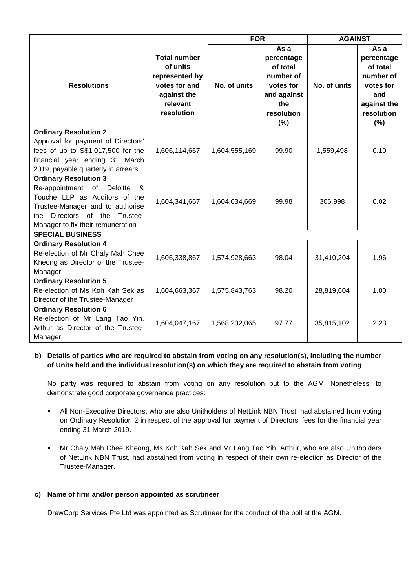|                                                                                                                                                                                  |                                                                                                             | <b>FOR</b>    |                                                                                                        | <b>AGAINST</b> |                                                                                                     |  |
|----------------------------------------------------------------------------------------------------------------------------------------------------------------------------------|-------------------------------------------------------------------------------------------------------------|---------------|--------------------------------------------------------------------------------------------------------|----------------|-----------------------------------------------------------------------------------------------------|--|
| <b>Resolutions</b>                                                                                                                                                               | <b>Total number</b><br>of units<br>represented by<br>votes for and<br>against the<br>relevant<br>resolution | No. of units  | As a<br>percentage<br>of total<br>number of<br>votes for<br>and against<br>the<br>resolution<br>$(\%)$ | No. of units   | As a<br>percentage<br>of total<br>number of<br>votes for<br>and<br>against the<br>resolution<br>(%) |  |
| <b>Ordinary Resolution 2</b>                                                                                                                                                     |                                                                                                             |               |                                                                                                        |                |                                                                                                     |  |
| Approval for payment of Directors'<br>fees of up to S\$1,017,500 for the<br>financial year ending 31 March<br>2019, payable quarterly in arrears                                 | 1,606,114,667                                                                                               | 1,604,555,169 | 99.90                                                                                                  | 1,559,498      | 0.10                                                                                                |  |
| <b>Ordinary Resolution 3</b>                                                                                                                                                     |                                                                                                             |               |                                                                                                        |                |                                                                                                     |  |
| Re-appointment of Deloitte<br>&<br>Touche LLP as Auditors of the<br>Trustee-Manager and to authorise<br>Trustee-<br>Directors of the<br>the<br>Manager to fix their remuneration | 1,604,341,667                                                                                               | 1,604,034,669 | 99.98                                                                                                  | 306,998        | 0.02                                                                                                |  |
| <b>SPECIAL BUSINESS</b>                                                                                                                                                          |                                                                                                             |               |                                                                                                        |                |                                                                                                     |  |
| <b>Ordinary Resolution 4</b><br>Re-election of Mr Chaly Mah Chee<br>Kheong as Director of the Trustee-<br>Manager                                                                | 1,606,338,867                                                                                               | 1,574,928,663 | 98.04                                                                                                  | 31,410,204     | 1.96                                                                                                |  |
| <b>Ordinary Resolution 5</b>                                                                                                                                                     |                                                                                                             |               |                                                                                                        |                |                                                                                                     |  |
| Re-election of Ms Koh Kah Sek as<br>Director of the Trustee-Manager                                                                                                              | 1,604,663,367                                                                                               | 1,575,843,763 | 98.20                                                                                                  | 28,819,604     | 1.80                                                                                                |  |
| <b>Ordinary Resolution 6</b>                                                                                                                                                     |                                                                                                             |               |                                                                                                        |                |                                                                                                     |  |
| Re-election of Mr Lang Tao Yih,<br>Arthur as Director of the Trustee-<br>Manager                                                                                                 | 1,604,047,167                                                                                               | 1,568,232,065 | 97.77                                                                                                  | 35,815,102     | 2.23                                                                                                |  |

## **b) Details of parties who are required to abstain from voting on any resolution(s), including the number of Units held and the individual resolution(s) on which they are required to abstain from voting**

No party was required to abstain from voting on any resolution put to the AGM. Nonetheless, to demonstrate good corporate governance practices:

- All Non-Executive Directors, who are also Unitholders of NetLink NBN Trust, had abstained from voting on Ordinary Resolution 2 in respect of the approval for payment of Directors' fees for the financial year ending 31 March 2019.
- Mr Chaly Mah Chee Kheong, Ms Koh Kah Sek and Mr Lang Tao Yih, Arthur, who are also Unitholders of NetLink NBN Trust, had abstained from voting in respect of their own re-election as Director of the Trustee-Manager.

### **c) Name of firm and/or person appointed as scrutineer**

DrewCorp Services Pte Ltd was appointed as Scrutineer for the conduct of the poll at the AGM.